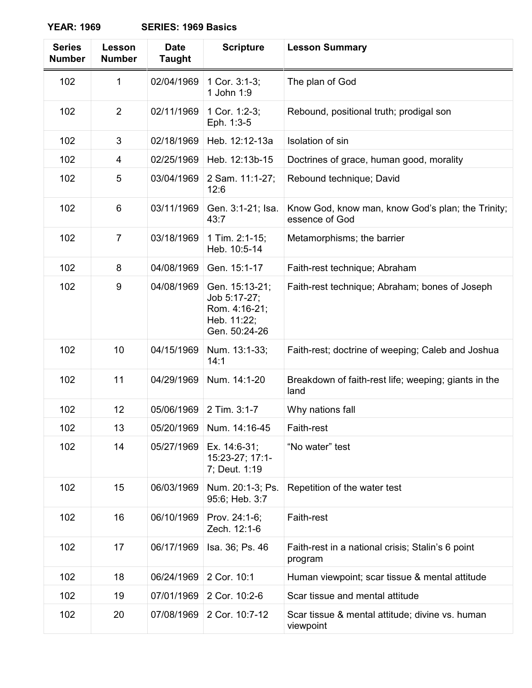| <b>Series</b><br><b>Number</b> | Lesson<br><b>Number</b> | <b>Date</b><br><b>Taught</b> | <b>Scripture</b>                                                                | <b>Lesson Summary</b>                                               |
|--------------------------------|-------------------------|------------------------------|---------------------------------------------------------------------------------|---------------------------------------------------------------------|
| 102                            | 1                       | 02/04/1969                   | 1 Cor. 3:1-3;<br>1 John 1:9                                                     | The plan of God                                                     |
| 102                            | $\overline{2}$          | 02/11/1969                   | 1 Cor. 1:2-3;<br>Eph. 1:3-5                                                     | Rebound, positional truth; prodigal son                             |
| 102                            | 3                       | 02/18/1969                   | Heb. 12:12-13a                                                                  | Isolation of sin                                                    |
| 102                            | 4                       | 02/25/1969                   | Heb. 12:13b-15                                                                  | Doctrines of grace, human good, morality                            |
| 102                            | 5                       | 03/04/1969                   | 2 Sam. 11:1-27;<br>12:6                                                         | Rebound technique; David                                            |
| 102                            | $6\phantom{1}6$         | 03/11/1969                   | Gen. 3:1-21; Isa.<br>43:7                                                       | Know God, know man, know God's plan; the Trinity;<br>essence of God |
| 102                            | $\overline{7}$          | 03/18/1969                   | 1 Tim. 2:1-15;<br>Heb. 10:5-14                                                  | Metamorphisms; the barrier                                          |
| 102                            | 8                       | 04/08/1969                   | Gen. 15:1-17                                                                    | Faith-rest technique; Abraham                                       |
| 102                            | 9                       | 04/08/1969                   | Gen. 15:13-21;<br>Job 5:17-27;<br>Rom. 4:16-21;<br>Heb. 11:22;<br>Gen. 50:24-26 | Faith-rest technique; Abraham; bones of Joseph                      |
| 102                            | 10                      | 04/15/1969                   | Num. 13:1-33;<br>14:1                                                           | Faith-rest; doctrine of weeping; Caleb and Joshua                   |
| 102                            | 11                      | 04/29/1969                   | Num. 14:1-20                                                                    | Breakdown of faith-rest life; weeping; giants in the<br>land        |
| 102                            | 12                      | 05/06/1969                   | 2 Tim. 3:1-7                                                                    | Why nations fall                                                    |
| 102                            | 13                      |                              | 05/20/1969 Num. 14:16-45                                                        | Faith-rest                                                          |
| 102                            | 14                      | 05/27/1969                   | Ex. 14:6-31;<br>15:23-27; 17:1-<br>7; Deut. 1:19                                | "No water" test                                                     |
| 102                            | 15                      | 06/03/1969                   | Num. 20:1-3; Ps.<br>95:6; Heb. 3:7                                              | Repetition of the water test                                        |
| 102                            | 16                      | 06/10/1969                   | Prov. 24:1-6;<br>Zech. 12:1-6                                                   | Faith-rest                                                          |
| 102                            | 17                      | 06/17/1969                   | Isa. 36; Ps. 46                                                                 | Faith-rest in a national crisis; Stalin's 6 point<br>program        |
| 102                            | 18                      | 06/24/1969                   | 2 Cor. 10:1                                                                     | Human viewpoint; scar tissue & mental attitude                      |
| 102                            | 19                      | 07/01/1969                   | 2 Cor. 10:2-6                                                                   | Scar tissue and mental attitude                                     |
| 102                            | 20                      | 07/08/1969                   | 2 Cor. 10:7-12                                                                  | Scar tissue & mental attitude; divine vs. human<br>viewpoint        |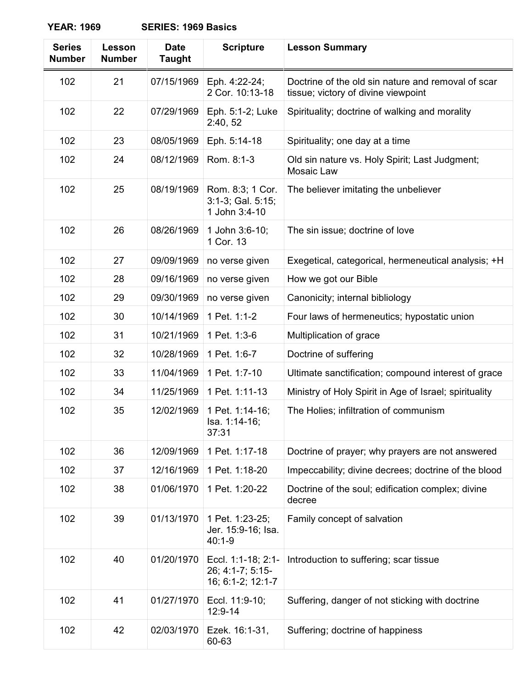| <b>Series</b><br><b>Number</b> | Lesson<br><b>Number</b> | <b>Date</b><br><b>Taught</b> | <b>Scripture</b>                                            | <b>Lesson Summary</b>                                                                     |
|--------------------------------|-------------------------|------------------------------|-------------------------------------------------------------|-------------------------------------------------------------------------------------------|
| 102                            | 21                      | 07/15/1969                   | Eph. 4:22-24;<br>2 Cor. 10:13-18                            | Doctrine of the old sin nature and removal of scar<br>tissue; victory of divine viewpoint |
| 102                            | 22                      | 07/29/1969                   | Eph. 5:1-2; Luke<br>2:40, 52                                | Spirituality; doctrine of walking and morality                                            |
| 102                            | 23                      | 08/05/1969                   | Eph. 5:14-18                                                | Spirituality; one day at a time                                                           |
| 102                            | 24                      | 08/12/1969                   | Rom. 8:1-3                                                  | Old sin nature vs. Holy Spirit; Last Judgment;<br>Mosaic Law                              |
| 102                            | 25                      | 08/19/1969                   | Rom. 8:3; 1 Cor.<br>3:1-3; Gal. 5:15;<br>1 John 3:4-10      | The believer imitating the unbeliever                                                     |
| 102                            | 26                      | 08/26/1969                   | 1 John 3:6-10;<br>1 Cor. 13                                 | The sin issue; doctrine of love                                                           |
| 102                            | 27                      | 09/09/1969                   | no verse given                                              | Exegetical, categorical, hermeneutical analysis; +H                                       |
| 102                            | 28                      | 09/16/1969                   | no verse given                                              | How we got our Bible                                                                      |
| 102                            | 29                      | 09/30/1969                   | no verse given                                              | Canonicity; internal bibliology                                                           |
| 102                            | 30                      | 10/14/1969                   | 1 Pet. 1:1-2                                                | Four laws of hermeneutics; hypostatic union                                               |
| 102                            | 31                      | 10/21/1969                   | 1 Pet. 1:3-6                                                | Multiplication of grace                                                                   |
| 102                            | 32                      | 10/28/1969                   | 1 Pet. 1:6-7                                                | Doctrine of suffering                                                                     |
| 102                            | 33                      | 11/04/1969                   | 1 Pet. 1:7-10                                               | Ultimate sanctification; compound interest of grace                                       |
| 102                            | 34                      | 11/25/1969                   | 1 Pet. 1:11-13                                              | Ministry of Holy Spirit in Age of Israel; spirituality                                    |
| 102                            | 35                      | 12/02/1969                   | 1 Pet. 1:14-16;<br>Isa. 1:14-16;<br>37:31                   | The Holies; infiltration of communism                                                     |
| 102                            | 36                      | 12/09/1969                   | 1 Pet. 1:17-18                                              | Doctrine of prayer; why prayers are not answered                                          |
| 102                            | 37                      | 12/16/1969                   | 1 Pet. 1:18-20                                              | Impeccability; divine decrees; doctrine of the blood                                      |
| 102                            | 38                      | 01/06/1970                   | 1 Pet. 1:20-22                                              | Doctrine of the soul; edification complex; divine<br>decree                               |
| 102                            | 39                      | 01/13/1970                   | 1 Pet. 1:23-25;<br>Jer. 15:9-16; Isa.<br>$40:1 - 9$         | Family concept of salvation                                                               |
| 102                            | 40                      | 01/20/1970                   | Eccl. 1:1-18; 2:1-<br>26; 4:1-7; 5:15-<br>16; 6:1-2; 12:1-7 | Introduction to suffering; scar tissue                                                    |
| 102                            | 41                      | 01/27/1970                   | Eccl. 11:9-10;<br>12:9-14                                   | Suffering, danger of not sticking with doctrine                                           |
| 102                            | 42                      | 02/03/1970                   | Ezek. 16:1-31,<br>60-63                                     | Suffering; doctrine of happiness                                                          |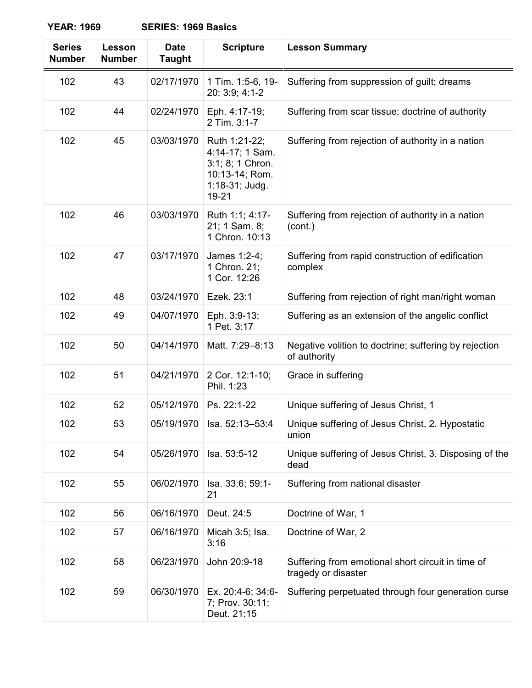| <b>Series</b><br><b>Number</b> | Lesson<br><b>Number</b> | <b>Date</b><br><b>Taught</b> | <b>Scripture</b>                                                                                  | <b>Lesson Summary</b>                                                    |
|--------------------------------|-------------------------|------------------------------|---------------------------------------------------------------------------------------------------|--------------------------------------------------------------------------|
| 102                            | 43                      | 02/17/1970                   | 1 Tim. 1:5-6, 19-<br>20; 3:9; 4:1-2                                                               | Suffering from suppression of guilt; dreams                              |
| 102                            | 44                      | 02/24/1970                   | Eph. 4:17-19;<br>2 Tim. 3:1-7                                                                     | Suffering from scar tissue; doctrine of authority                        |
| 102                            | 45                      | 03/03/1970                   | Ruth 1:21-22;<br>4:14-17; 1 Sam.<br>3:1; 8; 1 Chron.<br>10:13-14; Rom.<br>1:18-31; Judg.<br>19-21 | Suffering from rejection of authority in a nation                        |
| 102                            | 46                      | 03/03/1970                   | Ruth 1:1; 4:17-<br>21; 1 Sam. 8;<br>1 Chron. 10:13                                                | Suffering from rejection of authority in a nation<br>(cont.)             |
| 102                            | 47                      | 03/17/1970                   | James 1:2-4;<br>1 Chron. 21;<br>1 Cor. 12:26                                                      | Suffering from rapid construction of edification<br>complex              |
| 102                            | 48                      | 03/24/1970                   | Ezek. 23:1                                                                                        | Suffering from rejection of right man/right woman                        |
| 102                            | 49                      | 04/07/1970                   | Eph. 3:9-13;<br>1 Pet. 3:17                                                                       | Suffering as an extension of the angelic conflict                        |
| 102                            | 50                      | 04/14/1970                   | Matt. 7:29-8:13                                                                                   | Negative volition to doctrine; suffering by rejection<br>of authority    |
| 102                            | 51                      | 04/21/1970                   | 2 Cor. 12:1-10;<br>Phil. 1:23                                                                     | Grace in suffering                                                       |
| 102                            | 52                      | 05/12/1970                   | Ps. 22:1-22                                                                                       | Unique suffering of Jesus Christ, 1                                      |
| 102                            | 53                      | 05/19/1970                   | Isa. 52:13-53:4                                                                                   | Unique suffering of Jesus Christ, 2. Hypostatic<br>union                 |
| 102                            | 54                      | 05/26/1970                   | Isa. 53:5-12                                                                                      | Unique suffering of Jesus Christ, 3. Disposing of the<br>dead            |
| 102                            | 55                      | 06/02/1970                   | Isa. 33:6; 59:1-<br>21                                                                            | Suffering from national disaster                                         |
| 102                            | 56                      | 06/16/1970                   | Deut. 24:5                                                                                        | Doctrine of War, 1                                                       |
| 102                            | 57                      | 06/16/1970                   | Micah 3:5; Isa.<br>3:16                                                                           | Doctrine of War, 2                                                       |
| 102                            | 58                      | 06/23/1970                   | John 20:9-18                                                                                      | Suffering from emotional short circuit in time of<br>tragedy or disaster |
| 102                            | 59                      | 06/30/1970                   | Ex. 20:4-6; 34:6-<br>7; Prov. 30:11;<br>Deut. 21:15                                               | Suffering perpetuated through four generation curse                      |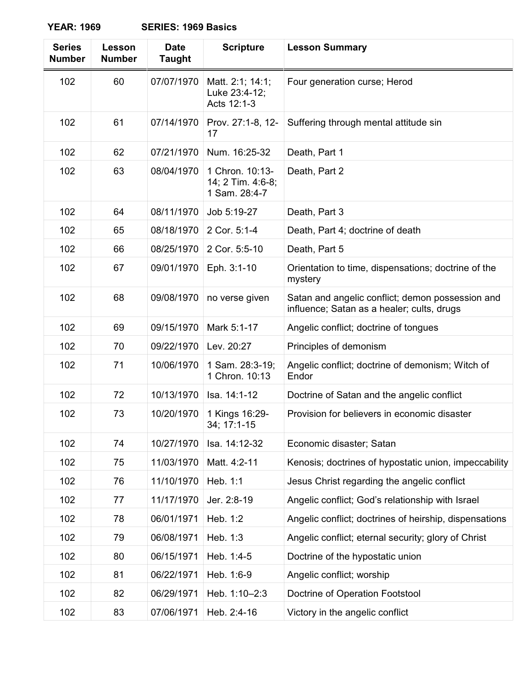| <b>Series</b><br><b>Number</b> | Lesson<br><b>Number</b> | <b>Date</b><br><b>Taught</b> | <b>Scripture</b>                                      | <b>Lesson Summary</b>                                                                          |
|--------------------------------|-------------------------|------------------------------|-------------------------------------------------------|------------------------------------------------------------------------------------------------|
| 102                            | 60                      | 07/07/1970                   | Matt. 2:1; 14:1;<br>Luke 23:4-12;<br>Acts 12:1-3      | Four generation curse; Herod                                                                   |
| 102                            | 61                      | 07/14/1970                   | Prov. 27:1-8, 12-<br>17                               | Suffering through mental attitude sin                                                          |
| 102                            | 62                      | 07/21/1970                   | Num. 16:25-32                                         | Death, Part 1                                                                                  |
| 102                            | 63                      | 08/04/1970                   | 1 Chron. 10:13-<br>14; 2 Tim. 4:6-8;<br>1 Sam. 28:4-7 | Death, Part 2                                                                                  |
| 102                            | 64                      | 08/11/1970                   | Job 5:19-27                                           | Death, Part 3                                                                                  |
| 102                            | 65                      | 08/18/1970                   | 2 Cor. 5:1-4                                          | Death, Part 4; doctrine of death                                                               |
| 102                            | 66                      | 08/25/1970                   | 2 Cor. 5:5-10                                         | Death, Part 5                                                                                  |
| 102                            | 67                      | 09/01/1970                   | Eph. 3:1-10                                           | Orientation to time, dispensations; doctrine of the<br>mystery                                 |
| 102                            | 68                      | 09/08/1970                   | no verse given                                        | Satan and angelic conflict; demon possession and<br>influence; Satan as a healer; cults, drugs |
| 102                            | 69                      | 09/15/1970                   | Mark 5:1-17                                           | Angelic conflict; doctrine of tongues                                                          |
| 102                            | 70                      | 09/22/1970                   | Lev. 20:27                                            | Principles of demonism                                                                         |
| 102                            | 71                      | 10/06/1970                   | 1 Sam. 28:3-19;<br>1 Chron. 10:13                     | Angelic conflict; doctrine of demonism; Witch of<br>Endor                                      |
| 102                            | 72                      | 10/13/1970                   | Isa. 14:1-12                                          | Doctrine of Satan and the angelic conflict                                                     |
| 102                            | 73                      | 10/20/1970                   | 1 Kings 16:29-<br>34; 17:1-15                         | Provision for believers in economic disaster                                                   |
| 102                            | 74                      | 10/27/1970                   | Isa. 14:12-32                                         | Economic disaster; Satan                                                                       |
| 102                            | 75                      | 11/03/1970                   | Matt. 4:2-11                                          | Kenosis; doctrines of hypostatic union, impeccability                                          |
| 102                            | 76                      | 11/10/1970                   | Heb. 1:1                                              | Jesus Christ regarding the angelic conflict                                                    |
| 102                            | 77                      | 11/17/1970                   | Jer. 2:8-19                                           | Angelic conflict; God's relationship with Israel                                               |
| 102                            | 78                      | 06/01/1971                   | Heb. 1:2                                              | Angelic conflict; doctrines of heirship, dispensations                                         |
| 102                            | 79                      | 06/08/1971                   | Heb. 1:3                                              | Angelic conflict; eternal security; glory of Christ                                            |
| 102                            | 80                      | 06/15/1971                   | Heb. 1:4-5                                            | Doctrine of the hypostatic union                                                               |
| 102                            | 81                      | 06/22/1971                   | Heb. 1:6-9                                            | Angelic conflict; worship                                                                      |
| 102                            | 82                      | 06/29/1971                   | Heb. 1:10-2:3                                         | Doctrine of Operation Footstool                                                                |
| 102                            | 83                      | 07/06/1971                   | Heb. 2:4-16                                           | Victory in the angelic conflict                                                                |